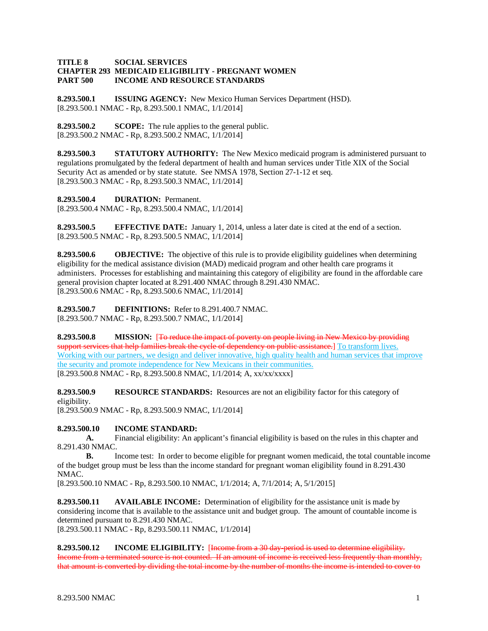## **TITLE 8 SOCIAL SERVICES CHAPTER 293 MEDICAID ELIGIBILITY - PREGNANT WOMEN PART 500 INCOME AND RESOURCE STANDARDS**

**8.293.500.1 ISSUING AGENCY:** New Mexico Human Services Department (HSD). [8.293.500.1 NMAC - Rp, 8.293.500.1 NMAC, 1/1/2014]

**8.293.500.2 SCOPE:** The rule applies to the general public. [8.293.500.2 NMAC - Rp, 8.293.500.2 NMAC, 1/1/2014]

**8.293.500.3 STATUTORY AUTHORITY:** The New Mexico medicaid program is administered pursuant to regulations promulgated by the federal department of health and human services under Title XIX of the Social Security Act as amended or by state statute. See NMSA 1978, Section 27-1-12 et seq. [8.293.500.3 NMAC - Rp, 8.293.500.3 NMAC, 1/1/2014]

**8.293.500.4 DURATION:** Permanent.

[8.293.500.4 NMAC - Rp, 8.293.500.4 NMAC, 1/1/2014]

**8.293.500.5 EFFECTIVE DATE:** January 1, 2014, unless a later date is cited at the end of a section. [8.293.500.5 NMAC - Rp, 8.293.500.5 NMAC, 1/1/2014]

**8.293.500.6 OBJECTIVE:** The objective of this rule is to provide eligibility guidelines when determining eligibility for the medical assistance division (MAD) medicaid program and other health care programs it administers. Processes for establishing and maintaining this category of eligibility are found in the affordable care general provision chapter located at 8.291.400 NMAC through 8.291.430 NMAC. [8.293.500.6 NMAC - Rp, 8.293.500.6 NMAC, 1/1/2014]

**8.293.500.7 DEFINITIONS:** Refer to 8.291.400.7 NMAC. [8.293.500.7 NMAC - Rp, 8.293.500.7 NMAC, 1/1/2014]

**8.293.500.8 MISSION:** [To reduce the impact of poverty on people living in New Mexico by providing support services that help families break the cycle of dependency on public assistance.] To transform lives. Working with our partners, we design and deliver innovative, high quality health and human services that improve the security and promote independence for New Mexicans in their communities. [8.293.500.8 NMAC - Rp, 8.293.500.8 NMAC, 1/1/2014; A, xx/xx/xxxx]

**8.293.500.9 RESOURCE STANDARDS:** Resources are not an eligibility factor for this category of eligibility.

[8.293.500.9 NMAC - Rp, 8.293.500.9 NMAC, 1/1/2014]

## **8.293.500.10 INCOME STANDARD:**

**A.** Financial eligibility: An applicant's financial eligibility is based on the rules in this chapter and 8.291.430 NMAC.

**B.** Income test: In order to become eligible for pregnant women medicaid, the total countable income of the budget group must be less than the income standard for pregnant woman eligibility found in 8.291.430 NMAC.

[8.293.500.10 NMAC - Rp, 8.293.500.10 NMAC, 1/1/2014; A, 7/1/2014; A, 5/1/2015]

**8.293.500.11 AVAILABLE INCOME:** Determination of eligibility for the assistance unit is made by considering income that is available to the assistance unit and budget group. The amount of countable income is determined pursuant to 8.291.430 NMAC. [8.293.500.11 NMAC - Rp, 8.293.500.11 NMAC, 1/1/2014]

**8.293.500.12 INCOME ELIGIBILITY:** [Income from a 30 day-period is used to determine eligibility. Income from a terminated source is not counted. If an amount of income is received less frequently than monthly, that amount is converted by dividing the total income by the number of months the income is intended to cover to